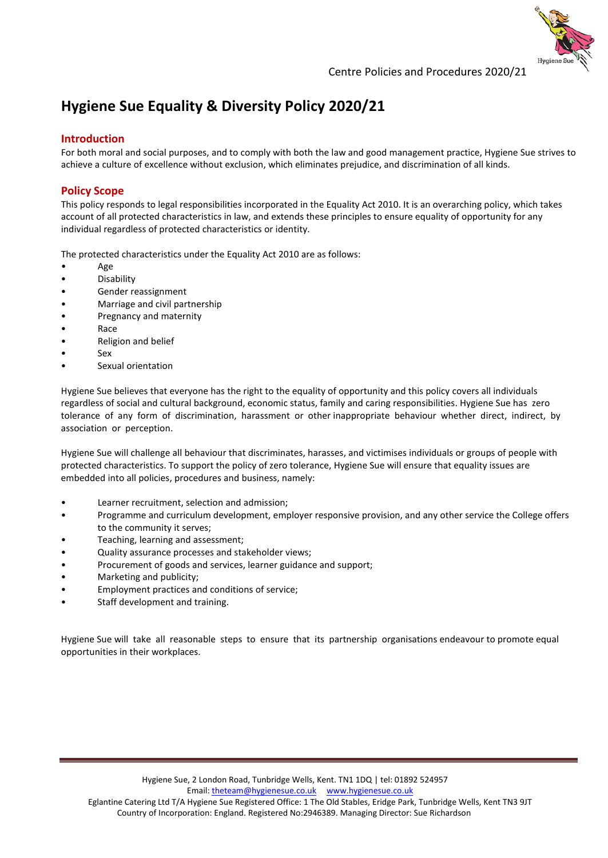

# **Hygiene Sue Equality & Diversity Policy 2020/21**

### **Introduction**

For both moral and social purposes, and to comply with both the law and good management practice, Hygiene Sue strives to achieve a culture of excellence without exclusion, which eliminates prejudice, and discrimination of all kinds.

## **Policy Scope**

This policy responds to legal responsibilities incorporated in the Equality Act 2010. It is an overarching policy, which takes account of all protected characteristics in law, and extends these principles to ensure equality of opportunity for any individual regardless of protected characteristics or identity.

The protected characteristics under the Equality Act 2010 are as follows:

- Age
- Disability
- Gender reassignment
- Marriage and civil partnership
- Pregnancy and maternity
- Race
- Religion and belief
- Sex
- Sexual orientation

Hygiene Sue believes that everyone has the right to the equality of opportunity and this policy covers all individuals regardless of social and cultural background, economic status, family and caring responsibilities. Hygiene Sue has zero tolerance of any form of discrimination, harassment or other inappropriate behaviour whether direct, indirect, by association or perception.

Hygiene Sue will challenge all behaviour that discriminates, harasses, and victimises individuals or groups of people with protected characteristics. To support the policy of zero tolerance, Hygiene Sue will ensure that equality issues are embedded into all policies, procedures and business, namely:

- Learner recruitment, selection and admission;
- Programme and curriculum development, employer responsive provision, and any other service the College offers to the community it serves;
- Teaching, learning and assessment;
- Quality assurance processes and stakeholder views;
- Procurement of goods and services, learner guidance and support;
- Marketing and publicity;
- Employment practices and conditions of service;
- Staff development and training.

Hygiene Sue will take all reasonable steps to ensure that its partnership organisations endeavour to promote equal opportunities in their workplaces.